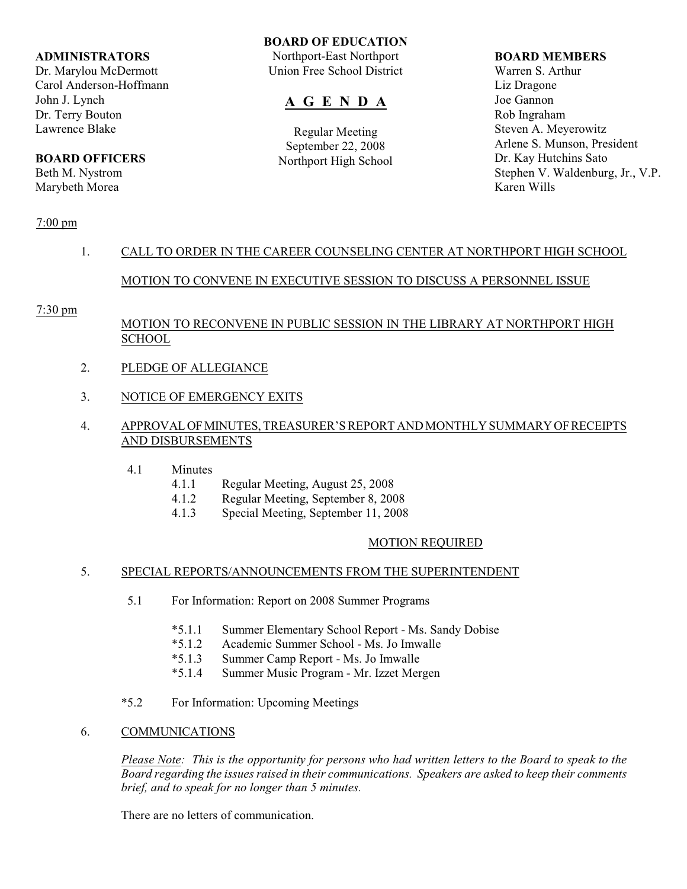#### **ADMINISTRATORS**

Dr. Marylou McDermott Carol Anderson-Hoffmann John J. Lynch Dr. Terry Bouton Lawrence Blake

## **BOARD OFFICERS**

Beth M. Nystrom Marybeth Morea

## **BOARD OF EDUCATION**

Northport-East Northport Union Free School District

# **A G E N D A**

Regular Meeting September 22, 2008 Northport High School

#### **BOARD MEMBERS**

Warren S. Arthur Liz Dragone Joe Gannon Rob Ingraham Steven A. Meyerowitz Arlene S. Munson, President Dr. Kay Hutchins Sato Stephen V. Waldenburg, Jr., V.P. Karen Wills

## 7:00 pm

## 1. CALL TO ORDER IN THE CAREER COUNSELING CENTER AT NORTHPORT HIGH SCHOOL

## MOTION TO CONVENE IN EXECUTIVE SESSION TO DISCUSS A PERSONNEL ISSUE

## 7:30 pm

## MOTION TO RECONVENE IN PUBLIC SESSION IN THE LIBRARY AT NORTHPORT HIGH SCHOOL

- 2. PLEDGE OF ALLEGIANCE
- 3. NOTICE OF EMERGENCY EXITS

## 4. APPROVAL OF MINUTES, TREASURER'S REPORT AND MONTHLY SUMMARY OF RECEIPTS AND DISBURSEMENTS

- 4.1 Minutes
	- 4.1.1 Regular Meeting, August 25, 2008
	- 4.1.2 Regular Meeting, September 8, 2008
	- 4.1.3 Special Meeting, September 11, 2008

## MOTION REQUIRED

## 5. SPECIAL REPORTS/ANNOUNCEMENTS FROM THE SUPERINTENDENT

- 5.1 For Information: Report on 2008 Summer Programs
	- \*5.1.1 Summer Elementary School Report Ms. Sandy Dobise
	- \*5.1.2 Academic Summer School Ms. Jo Imwalle
	- \*5.1.3 Summer Camp Report Ms. Jo Imwalle
	- \*5.1.4 Summer Music Program Mr. Izzet Mergen
- \*5.2 For Information: Upcoming Meetings

## 6. COMMUNICATIONS

*Please Note: This is the opportunity for persons who had written letters to the Board to speak to the Board regarding the issues raised in their communications. Speakers are asked to keep their comments brief, and to speak for no longer than 5 minutes.*

There are no letters of communication.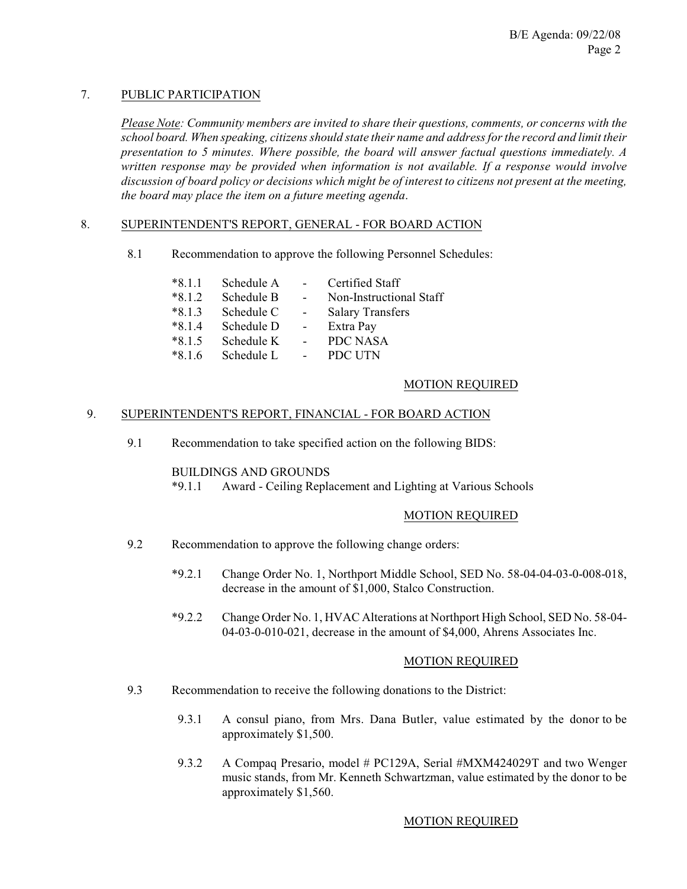## 7. PUBLIC PARTICIPATION

*Please Note: Community members are invited to share their questions, comments, or concerns with the school board. When speaking, citizens should state their name and address for the record and limit their presentation to 5 minutes. Where possible, the board will answer factual questions immediately. A written response may be provided when information is not available. If a response would involve discussion of board policy or decisions which might be of interest to citizens not present at the meeting, the board may place the item on a future meeting agenda*.

## 8. SUPERINTENDENT'S REPORT, GENERAL - FOR BOARD ACTION

8.1 Recommendation to approve the following Personnel Schedules:

| $*8.1.1$ | Schedule A |                          | <b>Certified Staff</b>  |
|----------|------------|--------------------------|-------------------------|
| $*8.1.2$ | Schedule B | $\overline{a}$           | Non-Instructional Staff |
| $*8.1.3$ | Schedule C | $\sim$                   | <b>Salary Transfers</b> |
| $*8.1.4$ | Schedule D | $\overline{\phantom{a}}$ | Extra Pay               |
| $*8.1.5$ | Schedule K |                          | PDC NASA                |
| $*816$   | Schedule L |                          | PDC UTN                 |

## MOTION REQUIRED

## 9. SUPERINTENDENT'S REPORT, FINANCIAL - FOR BOARD ACTION

9.1 Recommendation to take specified action on the following BIDS:

## BUILDINGS AND GROUNDS

\*9.1.1 Award - Ceiling Replacement and Lighting at Various Schools

## MOTION REQUIRED

- 9.2 Recommendation to approve the following change orders:
	- \*9.2.1 Change Order No. 1, Northport Middle School, SED No. 58-04-04-03-0-008-018, decrease in the amount of \$1,000, Stalco Construction.
	- \*9.2.2 Change Order No. 1, HVAC Alterations at Northport High School, SED No. 58-04- 04-03-0-010-021, decrease in the amount of \$4,000, Ahrens Associates Inc.

## MOTION REQUIRED

- 9.3 Recommendation to receive the following donations to the District:
	- 9.3.1 A consul piano, from Mrs. Dana Butler, value estimated by the donor to be approximately \$1,500.
	- 9.3.2 A Compaq Presario, model # PC129A, Serial #MXM424029T and two Wenger music stands, from Mr. Kenneth Schwartzman, value estimated by the donor to be approximately \$1,560.

## MOTION REQUIRED